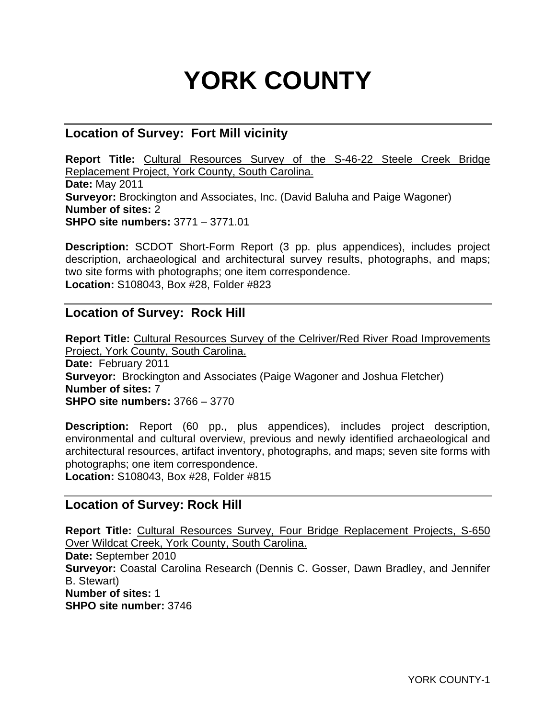# **YORK COUNTY**

## **Location of Survey: Fort Mill vicinity**

**Report Title:** Cultural Resources Survey of the S-46-22 Steele Creek Bridge Replacement Project, York County, South Carolina. **Date:** May 2011 **Surveyor:** Brockington and Associates, Inc. (David Baluha and Paige Wagoner) **Number of sites:** 2 **SHPO site numbers:** 3771 – 3771.01

**Description:** SCDOT Short-Form Report (3 pp. plus appendices), includes project description, archaeological and architectural survey results, photographs, and maps; two site forms with photographs; one item correspondence. **Location:** S108043, Box #28, Folder #823

## **Location of Survey: Rock Hill**

**Report Title:** Cultural Resources Survey of the Celriver/Red River Road Improvements Project, York County, South Carolina. **Date:** February 2011 **Surveyor:** Brockington and Associates (Paige Wagoner and Joshua Fletcher) **Number of sites:** 7 **SHPO site numbers:** 3766 – 3770

**Description:** Report (60 pp., plus appendices), includes project description, environmental and cultural overview, previous and newly identified archaeological and architectural resources, artifact inventory, photographs, and maps; seven site forms with photographs; one item correspondence.

**Location:** S108043, Box #28, Folder #815

## **Location of Survey: Rock Hill**

**Report Title:** Cultural Resources Survey, Four Bridge Replacement Projects, S-650 Over Wildcat Creek, York County, South Carolina. **Date:** September 2010 **Surveyor:** Coastal Carolina Research (Dennis C. Gosser, Dawn Bradley, and Jennifer B. Stewart) **Number of sites:** 1 **SHPO site number:** 3746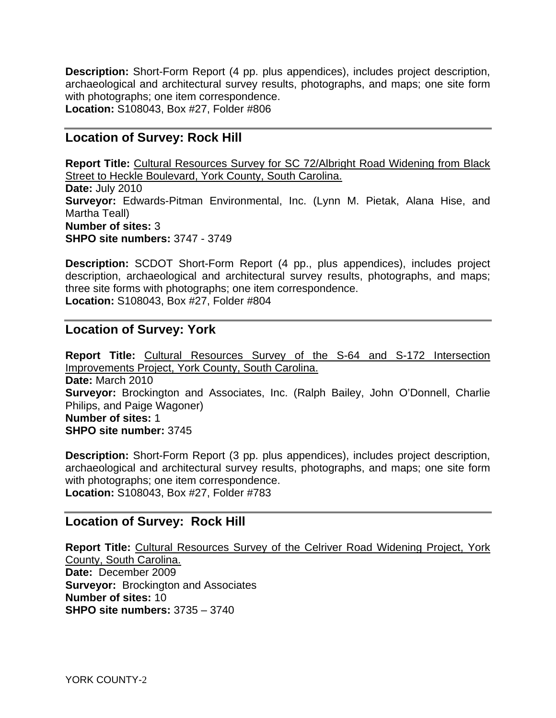**Description:** Short-Form Report (4 pp. plus appendices), includes project description, archaeological and architectural survey results, photographs, and maps; one site form with photographs; one item correspondence. **Location:** S108043, Box #27, Folder #806

## **Location of Survey: Rock Hill**

**Report Title:** Cultural Resources Survey for SC 72/Albright Road Widening from Black Street to Heckle Boulevard, York County, South Carolina. **Date:** July 2010 **Surveyor:** Edwards-Pitman Environmental, Inc. (Lynn M. Pietak, Alana Hise, and Martha Teall) **Number of sites:** 3 **SHPO site numbers:** 3747 - 3749

**Description:** SCDOT Short-Form Report (4 pp., plus appendices), includes project description, archaeological and architectural survey results, photographs, and maps; three site forms with photographs; one item correspondence. **Location:** S108043, Box #27, Folder #804

#### **Location of Survey: York**

**Report Title:** Cultural Resources Survey of the S-64 and S-172 Intersection Improvements Project, York County, South Carolina. **Date:** March 2010 **Surveyor:** Brockington and Associates, Inc. (Ralph Bailey, John O'Donnell, Charlie Philips, and Paige Wagoner) **Number of sites:** 1 **SHPO site number:** 3745

**Description:** Short-Form Report (3 pp. plus appendices), includes project description, archaeological and architectural survey results, photographs, and maps; one site form with photographs; one item correspondence. **Location:** S108043, Box #27, Folder #783

## **Location of Survey: Rock Hill**

**Report Title:** Cultural Resources Survey of the Celriver Road Widening Project, York County, South Carolina. **Date:** December 2009 **Surveyor:** Brockington and Associates **Number of sites:** 10 **SHPO site numbers:** 3735 – 3740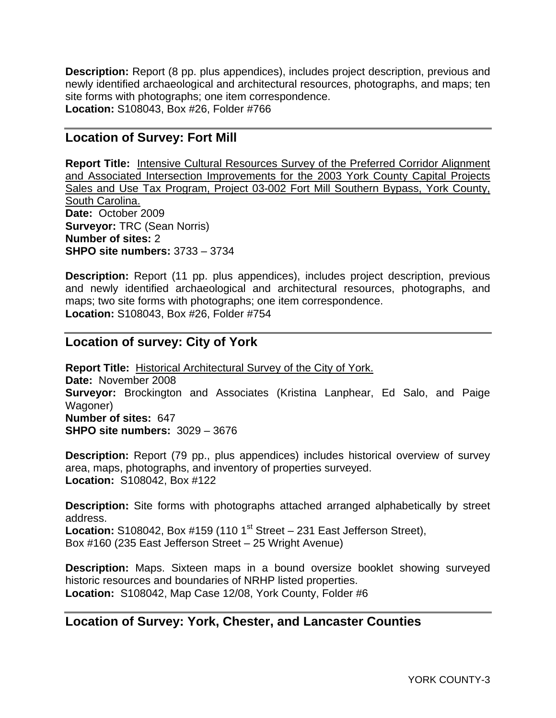**Description:** Report (8 pp. plus appendices), includes project description, previous and newly identified archaeological and architectural resources, photographs, and maps; ten site forms with photographs; one item correspondence. **Location:** S108043, Box #26, Folder #766

## **Location of Survey: Fort Mill**

**Report Title:** Intensive Cultural Resources Survey of the Preferred Corridor Alignment and Associated Intersection Improvements for the 2003 York County Capital Projects Sales and Use Tax Program, Project 03-002 Fort Mill Southern Bypass, York County, South Carolina. **Date:** October 2009 **Surveyor:** TRC (Sean Norris) **Number of sites:** 2 **SHPO site numbers:** 3733 – 3734

**Description:** Report (11 pp. plus appendices), includes project description, previous and newly identified archaeological and architectural resources, photographs, and maps; two site forms with photographs; one item correspondence. **Location:** S108043, Box #26, Folder #754

## **Location of survey: City of York**

**Report Title:** Historical Architectural Survey of the City of York. **Date:** November 2008 **Surveyor:** Brockington and Associates (Kristina Lanphear, Ed Salo, and Paige Wagoner) **Number of sites:** 647 **SHPO site numbers:** 3029 – 3676

**Description:** Report (79 pp., plus appendices) includes historical overview of survey area, maps, photographs, and inventory of properties surveyed. **Location:** S108042, Box #122

**Description:** Site forms with photographs attached arranged alphabetically by street address. **Location:** S108042, Box #159 (110  $1^{st}$  Street – 231 East Jefferson Street), Box #160 (235 East Jefferson Street – 25 Wright Avenue)

**Description:** Maps. Sixteen maps in a bound oversize booklet showing surveyed historic resources and boundaries of NRHP listed properties. **Location:** S108042, Map Case 12/08, York County, Folder #6

## **Location of Survey: York, Chester, and Lancaster Counties**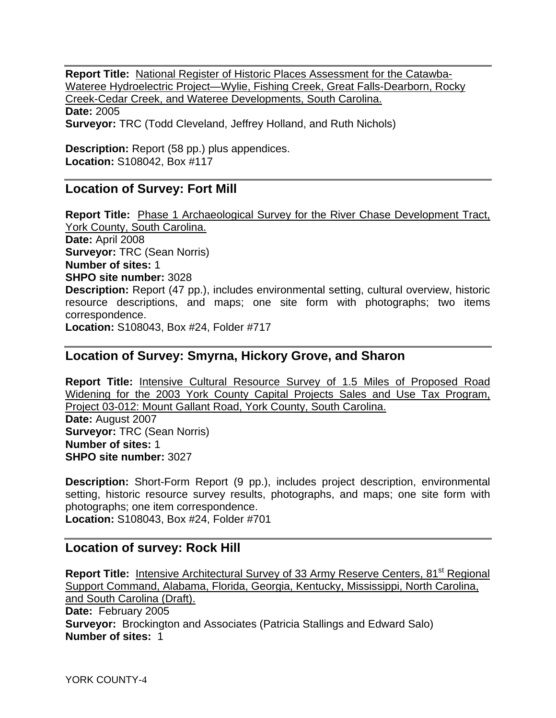**Report Title:** National Register of Historic Places Assessment for the Catawba-Wateree Hydroelectric Project—Wylie, Fishing Creek, Great Falls-Dearborn, Rocky Creek-Cedar Creek, and Wateree Developments, South Carolina. **Date:** 2005 **Surveyor:** TRC (Todd Cleveland, Jeffrey Holland, and Ruth Nichols)

**Description:** Report (58 pp.) plus appendices. **Location:** S108042, Box #117

## **Location of Survey: Fort Mill**

**Report Title:** Phase 1 Archaeological Survey for the River Chase Development Tract, York County, South Carolina. **Date:** April 2008 **Surveyor:** TRC (Sean Norris) **Number of sites:** 1 **SHPO site number:** 3028 **Description:** Report (47 pp.), includes environmental setting, cultural overview, historic resource descriptions, and maps; one site form with photographs; two items correspondence. **Location:** S108043, Box #24, Folder #717

## **Location of Survey: Smyrna, Hickory Grove, and Sharon**

**Report Title:** Intensive Cultural Resource Survey of 1.5 Miles of Proposed Road Widening for the 2003 York County Capital Projects Sales and Use Tax Program, Project 03-012: Mount Gallant Road, York County, South Carolina. **Date:** August 2007 **Surveyor:** TRC (Sean Norris) **Number of sites:** 1 **SHPO site number:** 3027

**Description:** Short-Form Report (9 pp.), includes project description, environmental setting, historic resource survey results, photographs, and maps; one site form with photographs; one item correspondence. **Location:** S108043, Box #24, Folder #701

## **Location of survey: Rock Hill**

**Report Title:** Intensive Architectural Survey of 33 Army Reserve Centers, 81<sup>st</sup> Regional Support Command, Alabama, Florida, Georgia, Kentucky, Mississippi, North Carolina, and South Carolina (Draft). **Date:** February 2005 **Surveyor:** Brockington and Associates (Patricia Stallings and Edward Salo) **Number of sites:** 1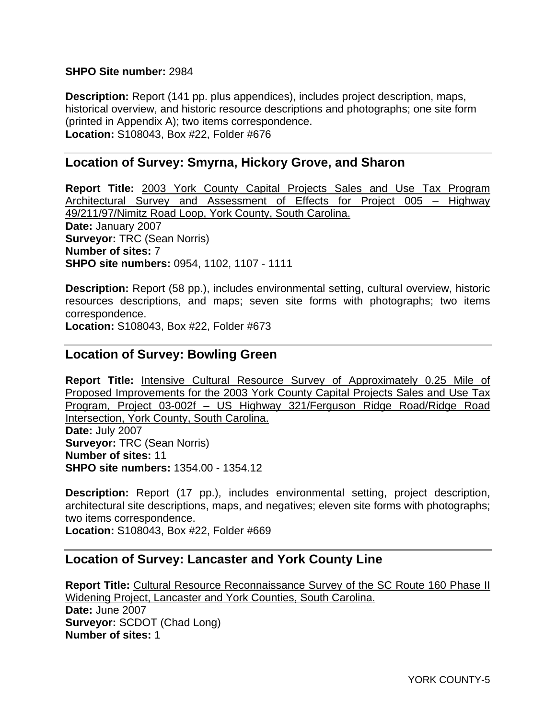#### **SHPO Site number:** 2984

**Description:** Report (141 pp. plus appendices), includes project description, maps, historical overview, and historic resource descriptions and photographs; one site form (printed in Appendix A); two items correspondence. **Location:** S108043, Box #22, Folder #676

## **Location of Survey: Smyrna, Hickory Grove, and Sharon**

**Report Title:** 2003 York County Capital Projects Sales and Use Tax Program Architectural Survey and Assessment of Effects for Project 005 – Highway 49/211/97/Nimitz Road Loop, York County, South Carolina. **Date:** January 2007 **Surveyor:** TRC (Sean Norris) **Number of sites:** 7 **SHPO site numbers:** 0954, 1102, 1107 - 1111

**Description:** Report (58 pp.), includes environmental setting, cultural overview, historic resources descriptions, and maps; seven site forms with photographs; two items correspondence.

**Location:** S108043, Box #22, Folder #673

#### **Location of Survey: Bowling Green**

**Report Title:** Intensive Cultural Resource Survey of Approximately 0.25 Mile of Proposed Improvements for the 2003 York County Capital Projects Sales and Use Tax Program, Project 03-002f – US Highway 321/Ferguson Ridge Road/Ridge Road Intersection, York County, South Carolina. **Date:** July 2007 **Surveyor:** TRC (Sean Norris) **Number of sites:** 11 **SHPO site numbers:** 1354.00 - 1354.12

**Description:** Report (17 pp.), includes environmental setting, project description, architectural site descriptions, maps, and negatives; eleven site forms with photographs; two items correspondence. **Location:** S108043, Box #22, Folder #669

#### **Location of Survey: Lancaster and York County Line**

**Report Title:** Cultural Resource Reconnaissance Survey of the SC Route 160 Phase II Widening Project, Lancaster and York Counties, South Carolina. **Date:** June 2007 **Surveyor:** SCDOT (Chad Long) **Number of sites:** 1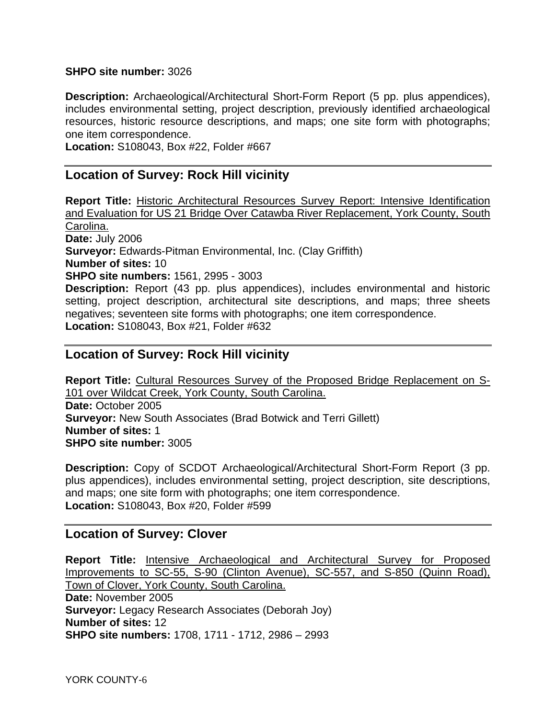#### **SHPO site number:** 3026

**Description:** Archaeological/Architectural Short-Form Report (5 pp. plus appendices), includes environmental setting, project description, previously identified archaeological resources, historic resource descriptions, and maps; one site form with photographs; one item correspondence.

**Location:** S108043, Box #22, Folder #667

## **Location of Survey: Rock Hill vicinity**

**Report Title:** Historic Architectural Resources Survey Report: Intensive Identification and Evaluation for US 21 Bridge Over Catawba River Replacement, York County, South Carolina. **Date:** July 2006 **Surveyor:** Edwards-Pitman Environmental, Inc. (Clay Griffith) **Number of sites:** 10 **SHPO site numbers:** 1561, 2995 - 3003 **Description:** Report (43 pp. plus appendices), includes environmental and historic setting, project description, architectural site descriptions, and maps; three sheets negatives; seventeen site forms with photographs; one item correspondence.

**Location:** S108043, Box #21, Folder #632

## **Location of Survey: Rock Hill vicinity**

**Report Title:** Cultural Resources Survey of the Proposed Bridge Replacement on S-101 over Wildcat Creek, York County, South Carolina. **Date:** October 2005 **Surveyor:** New South Associates (Brad Botwick and Terri Gillett) **Number of sites:** 1 **SHPO site number:** 3005

**Description:** Copy of SCDOT Archaeological/Architectural Short-Form Report (3 pp. plus appendices), includes environmental setting, project description, site descriptions, and maps; one site form with photographs; one item correspondence. **Location:** S108043, Box #20, Folder #599

#### **Location of Survey: Clover**

**Report Title:** Intensive Archaeological and Architectural Survey for Proposed Improvements to SC-55, S-90 (Clinton Avenue), SC-557, and S-850 (Quinn Road), Town of Clover, York County, South Carolina. **Date:** November 2005 **Surveyor:** Legacy Research Associates (Deborah Joy) **Number of sites:** 12 **SHPO site numbers:** 1708, 1711 - 1712, 2986 – 2993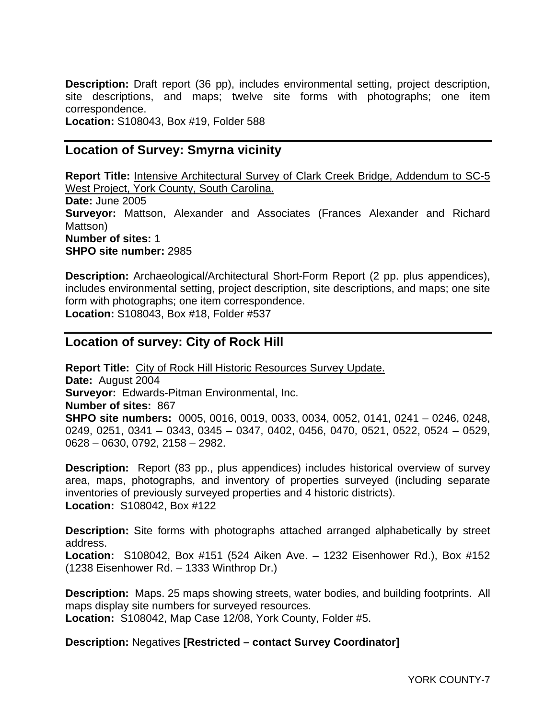**Description:** Draft report (36 pp), includes environmental setting, project description, site descriptions, and maps; twelve site forms with photographs; one item correspondence.

**Location:** S108043, Box #19, Folder 588

## **Location of Survey: Smyrna vicinity**

**Report Title:** Intensive Architectural Survey of Clark Creek Bridge, Addendum to SC-5 West Project, York County, South Carolina. **Date:** June 2005 **Surveyor:** Mattson, Alexander and Associates (Frances Alexander and Richard Mattson) **Number of sites:** 1 **SHPO site number:** 2985

**Description:** Archaeological/Architectural Short-Form Report (2 pp. plus appendices), includes environmental setting, project description, site descriptions, and maps; one site form with photographs; one item correspondence. **Location:** S108043, Box #18, Folder #537

## **Location of survey: City of Rock Hill**

**Report Title:** City of Rock Hill Historic Resources Survey Update. **Date:** August 2004 **Surveyor:** Edwards-Pitman Environmental, Inc. **Number of sites:** 867 **SHPO site numbers:** 0005, 0016, 0019, 0033, 0034, 0052, 0141, 0241 – 0246, 0248, 0249, 0251, 0341 – 0343, 0345 – 0347, 0402, 0456, 0470, 0521, 0522, 0524 – 0529, 0628 – 0630, 0792, 2158 – 2982.

**Description:** Report (83 pp., plus appendices) includes historical overview of survey area, maps, photographs, and inventory of properties surveyed (including separate inventories of previously surveyed properties and 4 historic districts). **Location:** S108042, Box #122

**Description:** Site forms with photographs attached arranged alphabetically by street address.

**Location:** S108042, Box #151 (524 Aiken Ave. – 1232 Eisenhower Rd.), Box #152 (1238 Eisenhower Rd. – 1333 Winthrop Dr.)

**Description:** Maps. 25 maps showing streets, water bodies, and building footprints. All maps display site numbers for surveyed resources.

**Location:** S108042, Map Case 12/08, York County, Folder #5.

#### **Description:** Negatives **[Restricted – contact Survey Coordinator]**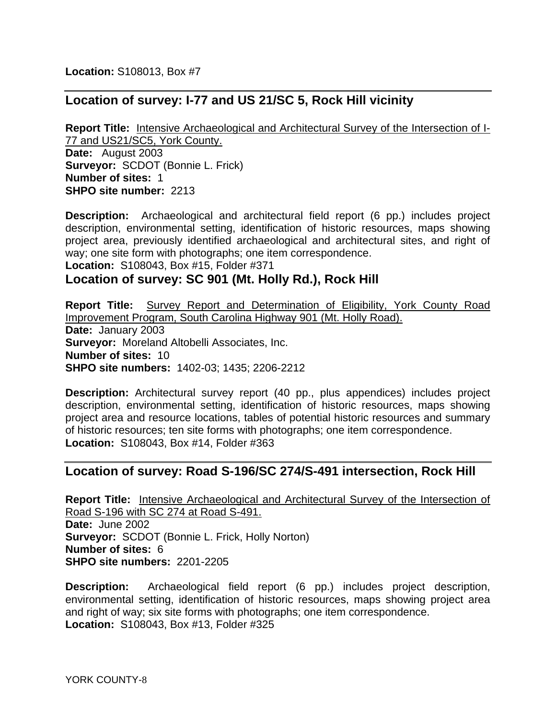**Location:** S108013, Box #7

## **Location of survey: I-77 and US 21/SC 5, Rock Hill vicinity**

**Report Title:** Intensive Archaeological and Architectural Survey of the Intersection of I-77 and US21/SC5, York County. **Date:** August 2003 **Surveyor:** SCDOT (Bonnie L. Frick) **Number of sites:** 1 **SHPO site number:** 2213

**Description:** Archaeological and architectural field report (6 pp.) includes project description, environmental setting, identification of historic resources, maps showing project area, previously identified archaeological and architectural sites, and right of way; one site form with photographs; one item correspondence. **Location:** S108043, Box #15, Folder #371

## **Location of survey: SC 901 (Mt. Holly Rd.), Rock Hill**

**Report Title:** Survey Report and Determination of Eligibility, York County Road Improvement Program, South Carolina Highway 901 (Mt. Holly Road). **Date:** January 2003 **Surveyor:** Moreland Altobelli Associates, Inc. **Number of sites:** 10 **SHPO site numbers:** 1402-03; 1435; 2206-2212

**Description:** Architectural survey report (40 pp., plus appendices) includes project description, environmental setting, identification of historic resources, maps showing project area and resource locations, tables of potential historic resources and summary of historic resources; ten site forms with photographs; one item correspondence. **Location:** S108043, Box #14, Folder #363

## **Location of survey: Road S-196/SC 274/S-491 intersection, Rock Hill**

**Report Title:** Intensive Archaeological and Architectural Survey of the Intersection of Road S-196 with SC 274 at Road S-491. **Date:** June 2002 **Surveyor:** SCDOT (Bonnie L. Frick, Holly Norton) **Number of sites:** 6 **SHPO site numbers:** 2201-2205

**Description:** Archaeological field report (6 pp.) includes project description, environmental setting, identification of historic resources, maps showing project area and right of way; six site forms with photographs; one item correspondence. **Location:** S108043, Box #13, Folder #325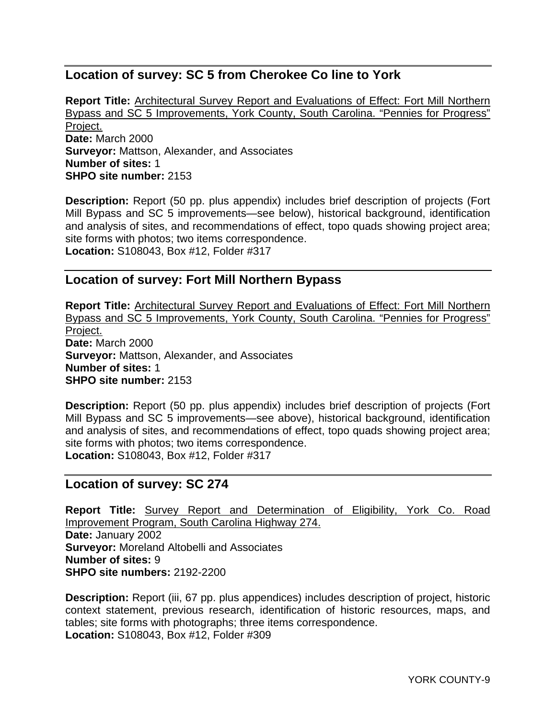## **Location of survey: SC 5 from Cherokee Co line to York**

**Report Title:** Architectural Survey Report and Evaluations of Effect: Fort Mill Northern Bypass and SC 5 Improvements, York County, South Carolina. "Pennies for Progress" Project. **Date:** March 2000 **Surveyor:** Mattson, Alexander, and Associates **Number of sites:** 1 **SHPO site number:** 2153

**Description:** Report (50 pp. plus appendix) includes brief description of projects (Fort Mill Bypass and SC 5 improvements—see below), historical background, identification and analysis of sites, and recommendations of effect, topo quads showing project area; site forms with photos; two items correspondence. **Location:** S108043, Box #12, Folder #317

## **Location of survey: Fort Mill Northern Bypass**

**Report Title:** Architectural Survey Report and Evaluations of Effect: Fort Mill Northern Bypass and SC 5 Improvements, York County, South Carolina. "Pennies for Progress" Project. **Date:** March 2000 **Surveyor:** Mattson, Alexander, and Associates **Number of sites:** 1 **SHPO site number:** 2153

**Description:** Report (50 pp. plus appendix) includes brief description of projects (Fort Mill Bypass and SC 5 improvements—see above), historical background, identification and analysis of sites, and recommendations of effect, topo quads showing project area; site forms with photos; two items correspondence. **Location:** S108043, Box #12, Folder #317

#### **Location of survey: SC 274**

**Report Title:** Survey Report and Determination of Eligibility, York Co. Road Improvement Program, South Carolina Highway 274. **Date:** January 2002 **Surveyor:** Moreland Altobelli and Associates **Number of sites:** 9 **SHPO site numbers:** 2192-2200

**Description:** Report (iii, 67 pp. plus appendices) includes description of project, historic context statement, previous research, identification of historic resources, maps, and tables; site forms with photographs; three items correspondence. **Location:** S108043, Box #12, Folder #309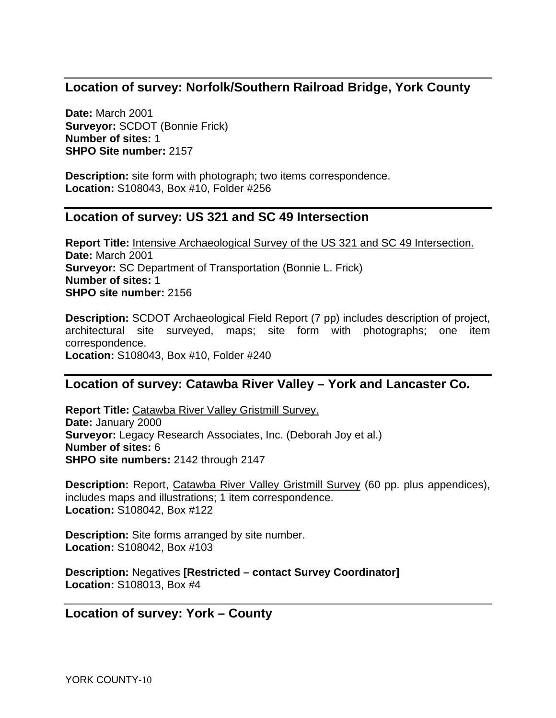## **Location of survey: Norfolk/Southern Railroad Bridge, York County**

**Date:** March 2001 **Surveyor:** SCDOT (Bonnie Frick) **Number of sites:** 1 **SHPO Site number:** 2157

**Description:** site form with photograph; two items correspondence. **Location:** S108043, Box #10, Folder #256

## **Location of survey: US 321 and SC 49 Intersection**

**Report Title:** Intensive Archaeological Survey of the US 321 and SC 49 Intersection. **Date:** March 2001 **Surveyor:** SC Department of Transportation (Bonnie L. Frick) **Number of sites:** 1 **SHPO site number:** 2156

**Description:** SCDOT Archaeological Field Report (7 pp) includes description of project, architectural site surveyed, maps; site form with photographs; one item correspondence. **Location:** S108043, Box #10, Folder #240

## **Location of survey: Catawba River Valley – York and Lancaster Co.**

**Report Title:** Catawba River Valley Gristmill Survey. **Date:** January 2000 **Surveyor:** Legacy Research Associates, Inc. (Deborah Joy et al.) **Number of sites:** 6 **SHPO site numbers:** 2142 through 2147

**Description:** Report, Catawba River Valley Gristmill Survey (60 pp. plus appendices), includes maps and illustrations; 1 item correspondence. **Location:** S108042, Box #122

**Description:** Site forms arranged by site number. **Location:** S108042, Box #103

**Description:** Negatives **[Restricted – contact Survey Coordinator] Location:** S108013, Box #4

#### **Location of survey: York – County**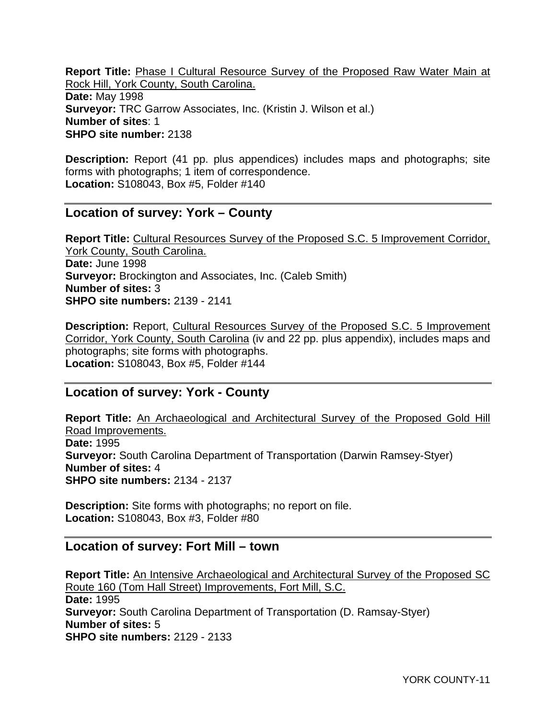**Report Title:** Phase I Cultural Resource Survey of the Proposed Raw Water Main at Rock Hill, York County, South Carolina. **Date:** May 1998 **Surveyor:** TRC Garrow Associates, Inc. (Kristin J. Wilson et al.) **Number of sites**: 1 **SHPO site number:** 2138

**Description:** Report (41 pp. plus appendices) includes maps and photographs; site forms with photographs; 1 item of correspondence. **Location:** S108043, Box #5, Folder #140

## **Location of survey: York – County**

**Report Title:** Cultural Resources Survey of the Proposed S.C. 5 Improvement Corridor, York County, South Carolina. **Date:** June 1998 **Surveyor:** Brockington and Associates, Inc. (Caleb Smith) **Number of sites:** 3 **SHPO site numbers:** 2139 - 2141

**Description:** Report, Cultural Resources Survey of the Proposed S.C. 5 Improvement Corridor, York County, South Carolina (iv and 22 pp. plus appendix), includes maps and photographs; site forms with photographs. **Location:** S108043, Box #5, Folder #144

#### **Location of survey: York - County**

**Report Title:** An Archaeological and Architectural Survey of the Proposed Gold Hill Road Improvements. **Date:** 1995 **Surveyor:** South Carolina Department of Transportation (Darwin Ramsey-Styer) **Number of sites:** 4 **SHPO site numbers:** 2134 - 2137

**Description:** Site forms with photographs; no report on file. **Location:** S108043, Box #3, Folder #80

#### **Location of survey: Fort Mill – town**

**Report Title:** An Intensive Archaeological and Architectural Survey of the Proposed SC Route 160 (Tom Hall Street) Improvements, Fort Mill, S.C. **Date:** 1995 **Surveyor:** South Carolina Department of Transportation (D. Ramsay-Styer) **Number of sites:** 5 **SHPO site numbers:** 2129 - 2133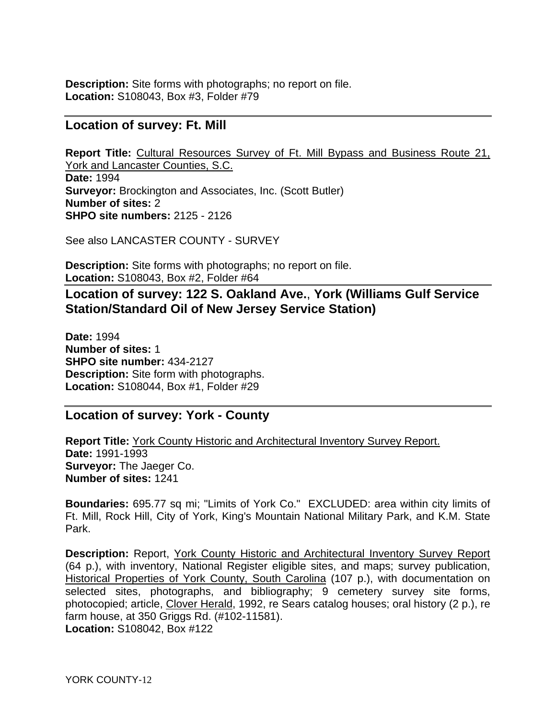**Description:** Site forms with photographs; no report on file. **Location:** S108043, Box #3, Folder #79

#### **Location of survey: Ft. Mill**

**Report Title:** Cultural Resources Survey of Ft. Mill Bypass and Business Route 21, York and Lancaster Counties, S.C. **Date:** 1994 **Surveyor:** Brockington and Associates, Inc. (Scott Butler) **Number of sites:** 2 **SHPO site numbers:** 2125 - 2126

See also LANCASTER COUNTY - SURVEY

**Description:** Site forms with photographs; no report on file. **Location:** S108043, Box #2, Folder #64

**Location of survey: 122 S. Oakland Ave.**, **York (Williams Gulf Service Station/Standard Oil of New Jersey Service Station)** 

**Date:** 1994 **Number of sites:** 1 **SHPO site number:** 434-2127 **Description:** Site form with photographs. **Location:** S108044, Box #1, Folder #29

## **Location of survey: York - County**

**Report Title:** York County Historic and Architectural Inventory Survey Report. **Date:** 1991-1993 **Surveyor:** The Jaeger Co. **Number of sites:** 1241

**Boundaries:** 695.77 sq mi; "Limits of York Co." EXCLUDED: area within city limits of Ft. Mill, Rock Hill, City of York, King's Mountain National Military Park, and K.M. State Park.

**Description:** Report, York County Historic and Architectural Inventory Survey Report (64 p.), with inventory, National Register eligible sites, and maps; survey publication, Historical Properties of York County, South Carolina (107 p.), with documentation on selected sites, photographs, and bibliography; 9 cemetery survey site forms, photocopied; article, Clover Herald, 1992, re Sears catalog houses; oral history (2 p.), re farm house, at 350 Griggs Rd. (#102-11581). **Location:** S108042, Box #122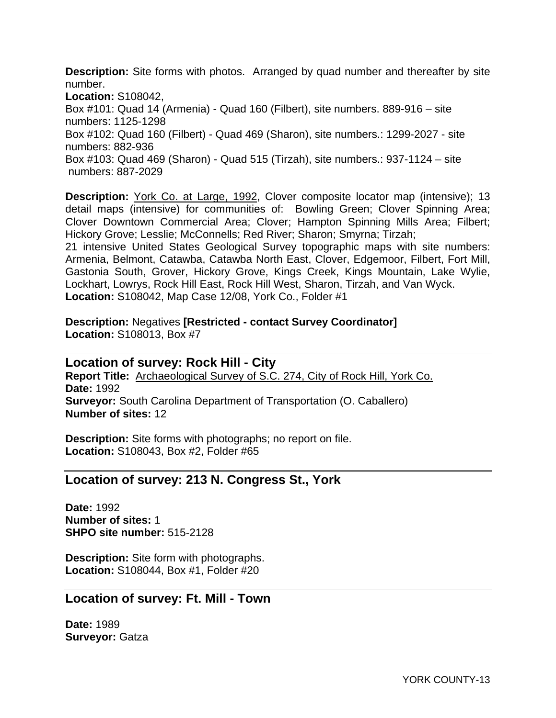**Description:** Site forms with photos. Arranged by quad number and thereafter by site number.

**Location:** S108042, Box #101: Quad 14 (Armenia) - Quad 160 (Filbert), site numbers. 889-916 – site numbers: 1125-1298 Box #102: Quad 160 (Filbert) - Quad 469 (Sharon), site numbers.: 1299-2027 - site numbers: 882-936 Box #103: Quad 469 (Sharon) - Quad 515 (Tirzah), site numbers.: 937-1124 – site numbers: 887-2029

**Description:** York Co. at Large, 1992, Clover composite locator map (intensive); 13 detail maps (intensive) for communities of: Bowling Green; Clover Spinning Area; Clover Downtown Commercial Area; Clover; Hampton Spinning Mills Area; Filbert; Hickory Grove; Lesslie; McConnells; Red River; Sharon; Smyrna; Tirzah;

21 intensive United States Geological Survey topographic maps with site numbers: Armenia, Belmont, Catawba, Catawba North East, Clover, Edgemoor, Filbert, Fort Mill, Gastonia South, Grover, Hickory Grove, Kings Creek, Kings Mountain, Lake Wylie, Lockhart, Lowrys, Rock Hill East, Rock Hill West, Sharon, Tirzah, and Van Wyck. **Location:** S108042, Map Case 12/08, York Co., Folder #1

**Description:** Negatives **[Restricted - contact Survey Coordinator] Location:** S108013, Box #7

**Location of survey: Rock Hill - City Report Title:** Archaeological Survey of S.C. 274, City of Rock Hill, York Co. **Date:** 1992 **Surveyor:** South Carolina Department of Transportation (O. Caballero) **Number of sites:** 12

**Description:** Site forms with photographs; no report on file. **Location:** S108043, Box #2, Folder #65

#### **Location of survey: 213 N. Congress St., York**

**Date:** 1992 **Number of sites:** 1 **SHPO site number:** 515-2128

**Description:** Site form with photographs. **Location:** S108044, Box #1, Folder #20

#### **Location of survey: Ft. Mill - Town**

**Date:** 1989 **Surveyor:** Gatza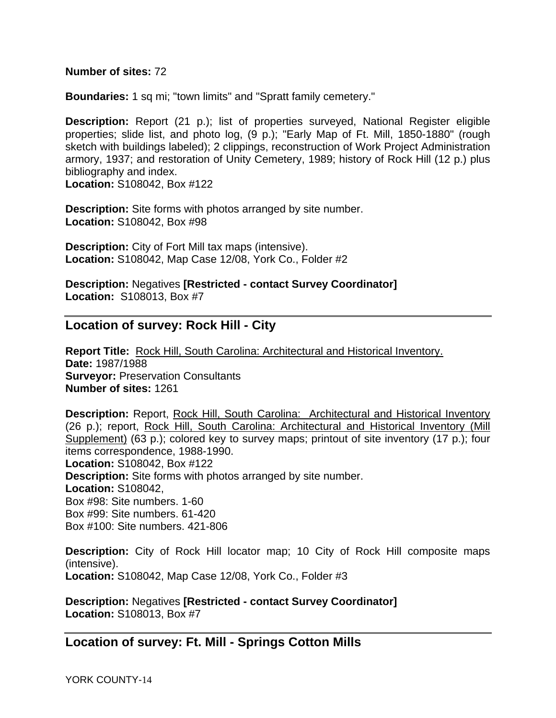#### **Number of sites:** 72

**Boundaries:** 1 sq mi; "town limits" and "Spratt family cemetery."

**Description:** Report (21 p.); list of properties surveyed, National Register eligible properties; slide list, and photo log, (9 p.); "Early Map of Ft. Mill, 1850-1880" (rough sketch with buildings labeled); 2 clippings, reconstruction of Work Project Administration armory, 1937; and restoration of Unity Cemetery, 1989; history of Rock Hill (12 p.) plus bibliography and index.

**Location:** S108042, Box #122

**Description:** Site forms with photos arranged by site number. **Location:** S108042, Box #98

**Description:** City of Fort Mill tax maps (intensive). **Location:** S108042, Map Case 12/08, York Co., Folder #2

**Description:** Negatives **[Restricted - contact Survey Coordinator] Location:** S108013, Box #7

#### **Location of survey: Rock Hill - City**

**Report Title:** Rock Hill, South Carolina: Architectural and Historical Inventory. **Date:** 1987/1988 **Surveyor:** Preservation Consultants **Number of sites:** 1261

**Description:** Report, Rock Hill, South Carolina: Architectural and Historical Inventory (26 p.); report, Rock Hill, South Carolina: Architectural and Historical Inventory (Mill Supplement) (63 p.); colored key to survey maps; printout of site inventory (17 p.); four items correspondence, 1988-1990. **Location:** S108042, Box #122 **Description:** Site forms with photos arranged by site number. **Location:** S108042, Box #98: Site numbers. 1-60 Box #99: Site numbers. 61-420 Box #100: Site numbers. 421-806

**Description:** City of Rock Hill locator map; 10 City of Rock Hill composite maps (intensive). **Location:** S108042, Map Case 12/08, York Co., Folder #3

**Description:** Negatives **[Restricted - contact Survey Coordinator] Location:** S108013, Box #7

**Location of survey: Ft. Mill - Springs Cotton Mills**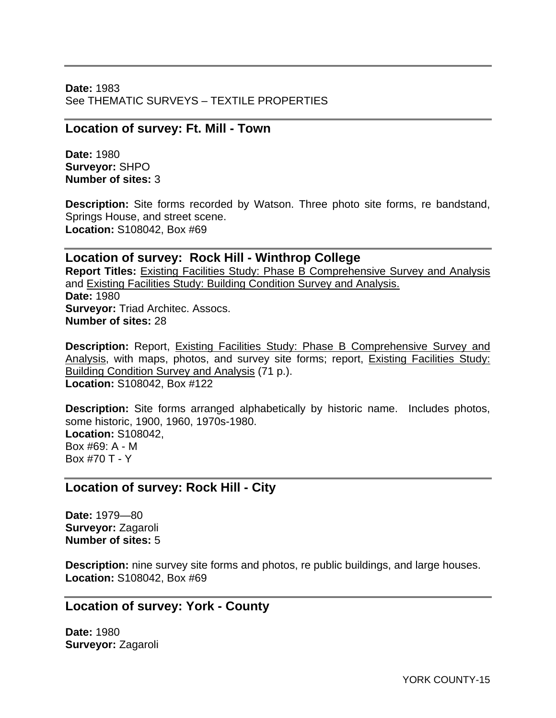**Date:** 1983 See THEMATIC SURVEYS – TEXTILE PROPERTIES

#### **Location of survey: Ft. Mill - Town**

**Date:** 1980 **Surveyor:** SHPO **Number of sites:** 3

**Description:** Site forms recorded by Watson. Three photo site forms, re bandstand, Springs House, and street scene. **Location:** S108042, Box #69

## **Location of survey: Rock Hill - Winthrop College**

**Report Titles:** Existing Facilities Study: Phase B Comprehensive Survey and Analysis and Existing Facilities Study: Building Condition Survey and Analysis. **Date:** 1980 **Surveyor:** Triad Architec. Assocs. **Number of sites:** 28

**Description:** Report, Existing Facilities Study: Phase B Comprehensive Survey and Analysis, with maps, photos, and survey site forms; report, Existing Facilities Study: Building Condition Survey and Analysis (71 p.). **Location:** S108042, Box #122

**Description:** Site forms arranged alphabetically by historic name. Includes photos, some historic, 1900, 1960, 1970s-1980. **Location:** S108042, Box #69: A - M Box #70 T - Y

## **Location of survey: Rock Hill - City**

**Date:** 1979—80 **Surveyor:** Zagaroli **Number of sites:** 5

**Description:** nine survey site forms and photos, re public buildings, and large houses. **Location:** S108042, Box #69

#### **Location of survey: York - County**

**Date:** 1980 **Surveyor:** Zagaroli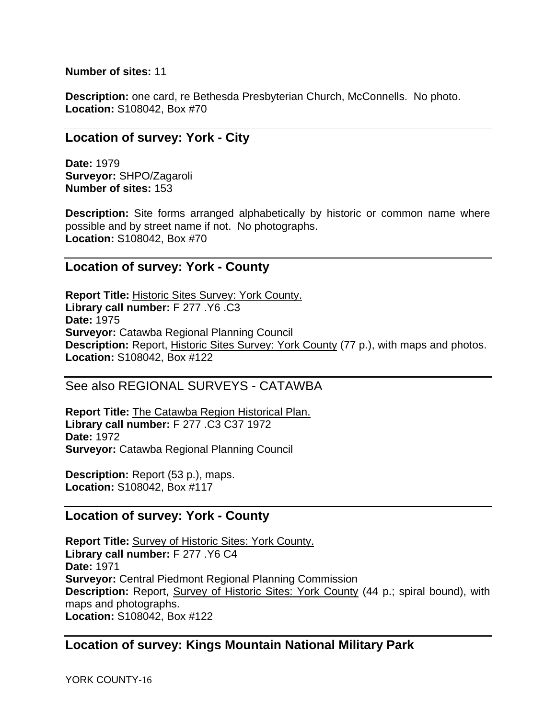**Number of sites:** 11

**Description:** one card, re Bethesda Presbyterian Church, McConnells. No photo. **Location:** S108042, Box #70

#### **Location of survey: York - City**

**Date:** 1979 **Surveyor:** SHPO/Zagaroli **Number of sites:** 153

**Description:** Site forms arranged alphabetically by historic or common name where possible and by street name if not. No photographs. **Location:** S108042, Box #70

#### **Location of survey: York - County**

**Report Title:** Historic Sites Survey: York County. **Library call number:** F 277 .Y6 .C3 **Date:** 1975 **Surveyor:** Catawba Regional Planning Council **Description:** Report, Historic Sites Survey: York County (77 p.), with maps and photos. **Location:** S108042, Box #122

#### See also REGIONAL SURVEYS - CATAWBA

**Report Title:** The Catawba Region Historical Plan. **Library call number:** F 277 .C3 C37 1972 **Date:** 1972 **Surveyor:** Catawba Regional Planning Council

**Description:** Report (53 p.), maps. **Location:** S108042, Box #117

## **Location of survey: York - County**

**Report Title:** Survey of Historic Sites: York County. **Library call number:** F 277 .Y6 C4 **Date:** 1971 **Surveyor:** Central Piedmont Regional Planning Commission **Description:** Report, Survey of Historic Sites: York County (44 p.; spiral bound), with maps and photographs. **Location:** S108042, Box #122

## **Location of survey: Kings Mountain National Military Park**